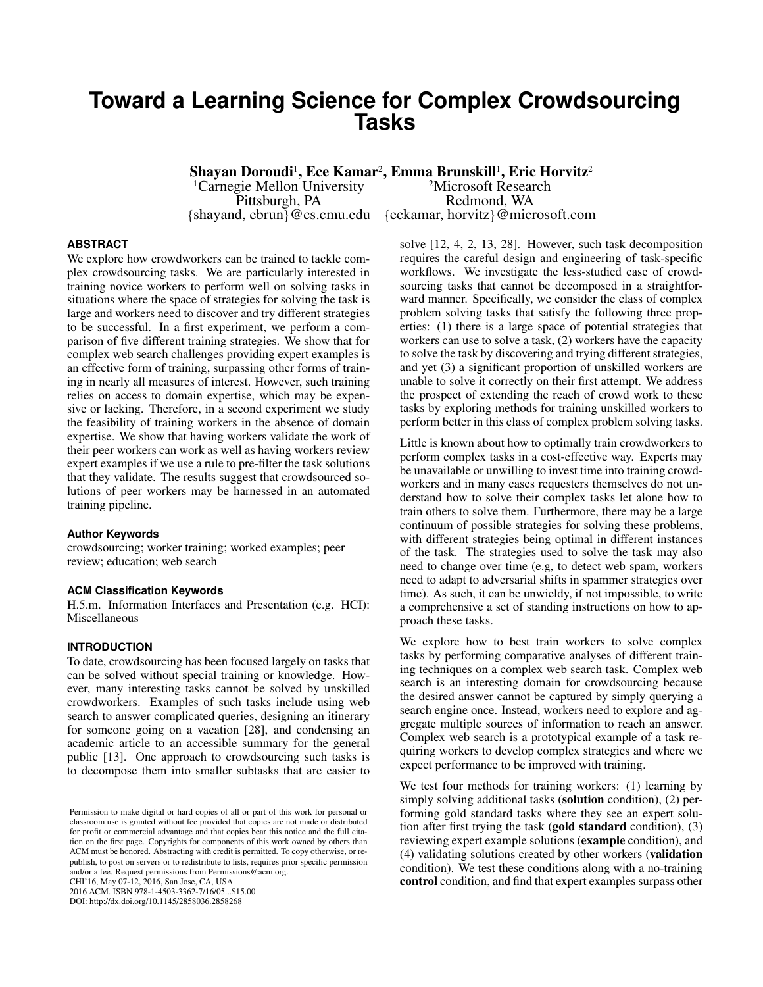# **Toward a Learning Science for Complex Crowdsourcing Tasks**

Shayan Doroudi<sup>ı</sup>, Ece Kamar<sup>2</sup>, Emma Brunskill<sup>ı</sup>, Eric Horvitz<sup>2</sup> <sup>1</sup>Carnegie Mellon University <sup>2</sup>Microsoft Research<br>Pittsburgh, PA Redmond, WA Redmond, WA {shayand, ebrun}@cs.cmu.edu {eckamar, horvitz}@microsoft.com

# **ABSTRACT**

We explore how crowdworkers can be trained to tackle complex crowdsourcing tasks. We are particularly interested in training novice workers to perform well on solving tasks in situations where the space of strategies for solving the task is large and workers need to discover and try different strategies to be successful. In a first experiment, we perform a comparison of five different training strategies. We show that for complex web search challenges providing expert examples is an effective form of training, surpassing other forms of training in nearly all measures of interest. However, such training relies on access to domain expertise, which may be expensive or lacking. Therefore, in a second experiment we study the feasibility of training workers in the absence of domain expertise. We show that having workers validate the work of their peer workers can work as well as having workers review expert examples if we use a rule to pre-filter the task solutions that they validate. The results suggest that crowdsourced solutions of peer workers may be harnessed in an automated training pipeline.

#### **Author Keywords**

crowdsourcing; worker training; worked examples; peer review; education; web search

#### **ACM Classification Keywords**

H.5.m. Information Interfaces and Presentation (e.g. HCI): Miscellaneous

#### **INTRODUCTION**

To date, crowdsourcing has been focused largely on tasks that can be solved without special training or knowledge. However, many interesting tasks cannot be solved by unskilled crowdworkers. Examples of such tasks include using web search to answer complicated queries, designing an itinerary for someone going on a vacation [\[28\]](#page-11-0), and condensing an academic article to an accessible summary for the general public [\[13\]](#page-10-0). One approach to crowdsourcing such tasks is to decompose them into smaller subtasks that are easier to

CHI'16, May 07-12, 2016, San Jose, CA, USA

2016 ACM. ISBN 978-1-4503-3362-7/16/05...\$15.00 DOI: http://dx.doi.org/10.1145/2858036.2858268

solve [\[12,](#page-10-1) [4,](#page-10-2) [2,](#page-10-3) [13,](#page-10-0) [28\]](#page-11-0). However, such task decomposition requires the careful design and engineering of task-specific workflows. We investigate the less-studied case of crowdsourcing tasks that cannot be decomposed in a straightforward manner. Specifically, we consider the class of complex problem solving tasks that satisfy the following three properties: (1) there is a large space of potential strategies that workers can use to solve a task, (2) workers have the capacity to solve the task by discovering and trying different strategies, and yet (3) a significant proportion of unskilled workers are unable to solve it correctly on their first attempt. We address the prospect of extending the reach of crowd work to these tasks by exploring methods for training unskilled workers to perform better in this class of complex problem solving tasks.

Little is known about how to optimally train crowdworkers to perform complex tasks in a cost-effective way. Experts may be unavailable or unwilling to invest time into training crowdworkers and in many cases requesters themselves do not understand how to solve their complex tasks let alone how to train others to solve them. Furthermore, there may be a large continuum of possible strategies for solving these problems, with different strategies being optimal in different instances of the task. The strategies used to solve the task may also need to change over time (e.g, to detect web spam, workers need to adapt to adversarial shifts in spammer strategies over time). As such, it can be unwieldy, if not impossible, to write a comprehensive a set of standing instructions on how to approach these tasks.

We explore how to best train workers to solve complex tasks by performing comparative analyses of different training techniques on a complex web search task. Complex web search is an interesting domain for crowdsourcing because the desired answer cannot be captured by simply querying a search engine once. Instead, workers need to explore and aggregate multiple sources of information to reach an answer. Complex web search is a prototypical example of a task requiring workers to develop complex strategies and where we expect performance to be improved with training.

We test four methods for training workers: (1) learning by simply solving additional tasks (**solution** condition), (2) performing gold standard tasks where they see an expert solution after first trying the task (gold standard condition), (3) reviewing expert example solutions (example condition), and (4) validating solutions created by other workers (validation condition). We test these conditions along with a no-training control condition, and find that expert examples surpass other

Permission to make digital or hard copies of all or part of this work for personal or classroom use is granted without fee provided that copies are not made or distributed for profit or commercial advantage and that copies bear this notice and the full citation on the first page. Copyrights for components of this work owned by others than ACM must be honored. Abstracting with credit is permitted. To copy otherwise, or republish, to post on servers or to redistribute to lists, requires prior specific permission and/or a fee. Request permissions from Permissions@acm.org.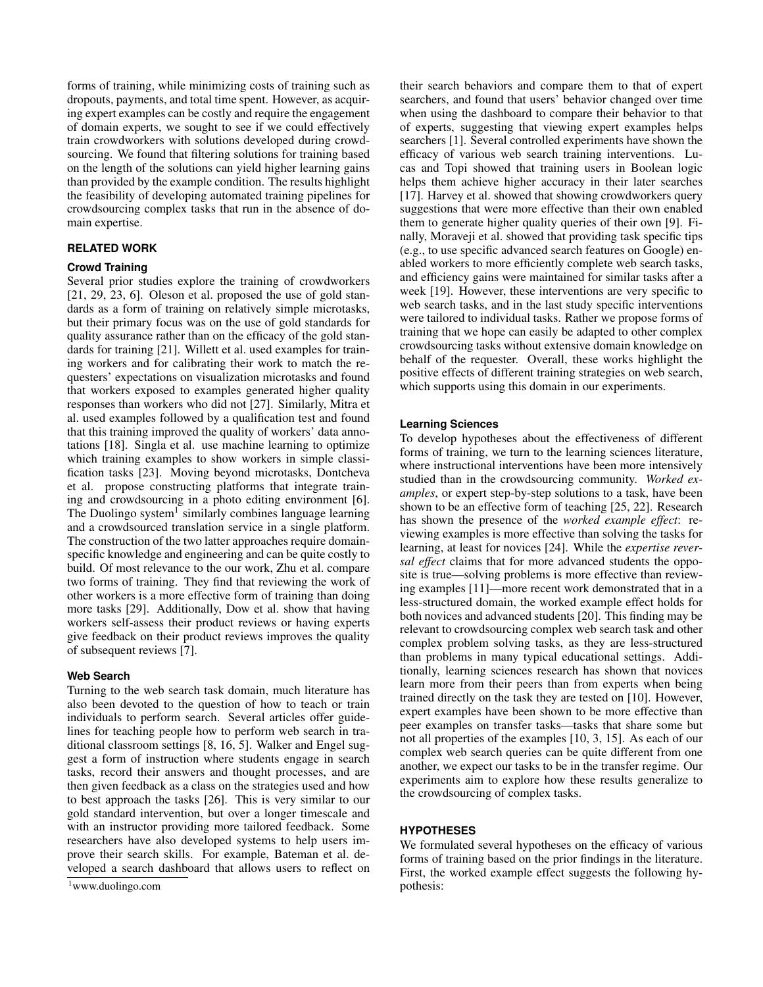forms of training, while minimizing costs of training such as dropouts, payments, and total time spent. However, as acquiring expert examples can be costly and require the engagement of domain experts, we sought to see if we could effectively train crowdworkers with solutions developed during crowdsourcing. We found that filtering solutions for training based on the length of the solutions can yield higher learning gains than provided by the example condition. The results highlight the feasibility of developing automated training pipelines for crowdsourcing complex tasks that run in the absence of domain expertise.

### **RELATED WORK**

# **Crowd Training**

Several prior studies explore the training of crowdworkers [\[21,](#page-10-4) [29,](#page-11-1) [23,](#page-10-5) [6\]](#page-10-6). Oleson et al. proposed the use of gold standards as a form of training on relatively simple microtasks, but their primary focus was on the use of gold standards for quality assurance rather than on the efficacy of the gold standards for training [\[21\]](#page-10-4). Willett et al. used examples for training workers and for calibrating their work to match the requesters' expectations on visualization microtasks and found that workers exposed to examples generated higher quality responses than workers who did not [\[27\]](#page-11-2). Similarly, Mitra et al. used examples followed by a qualification test and found that this training improved the quality of workers' data annotations [\[18\]](#page-10-7). Singla et al. use machine learning to optimize which training examples to show workers in simple classification tasks [\[23\]](#page-10-5). Moving beyond microtasks, Dontcheva et al. propose constructing platforms that integrate training and crowdsourcing in a photo editing environment [\[6\]](#page-10-6). The Duolingo system<sup>[1](#page-1-0)</sup> similarly combines language learning and a crowdsourced translation service in a single platform. The construction of the two latter approaches require domainspecific knowledge and engineering and can be quite costly to build. Of most relevance to the our work, Zhu et al. compare two forms of training. They find that reviewing the work of other workers is a more effective form of training than doing more tasks [\[29\]](#page-11-1). Additionally, Dow et al. show that having workers self-assess their product reviews or having experts give feedback on their product reviews improves the quality of subsequent reviews [\[7\]](#page-10-8).

### **Web Search**

Turning to the web search task domain, much literature has also been devoted to the question of how to teach or train individuals to perform search. Several articles offer guidelines for teaching people how to perform web search in traditional classroom settings [\[8,](#page-10-9) [16,](#page-10-10) [5\]](#page-10-11). Walker and Engel suggest a form of instruction where students engage in search tasks, record their answers and thought processes, and are then given feedback as a class on the strategies used and how to best approach the tasks [\[26\]](#page-11-3). This is very similar to our gold standard intervention, but over a longer timescale and with an instructor providing more tailored feedback. Some researchers have also developed systems to help users improve their search skills. For example, Bateman et al. developed a search dashboard that allows users to reflect on

their search behaviors and compare them to that of expert searchers, and found that users' behavior changed over time when using the dashboard to compare their behavior to that of experts, suggesting that viewing expert examples helps searchers [\[1\]](#page-9-0). Several controlled experiments have shown the efficacy of various web search training interventions. Lucas and Topi showed that training users in Boolean logic helps them achieve higher accuracy in their later searches [\[17\]](#page-10-12). Harvey et al. showed that showing crowdworkers query suggestions that were more effective than their own enabled them to generate higher quality queries of their own [\[9\]](#page-10-13). Finally, Moraveji et al. showed that providing task specific tips (e.g., to use specific advanced search features on Google) enabled workers to more efficiently complete web search tasks, and efficiency gains were maintained for similar tasks after a week [\[19\]](#page-10-14). However, these interventions are very specific to web search tasks, and in the last study specific interventions were tailored to individual tasks. Rather we propose forms of training that we hope can easily be adapted to other complex crowdsourcing tasks without extensive domain knowledge on behalf of the requester. Overall, these works highlight the positive effects of different training strategies on web search, which supports using this domain in our experiments.

#### **Learning Sciences**

To develop hypotheses about the effectiveness of different forms of training, we turn to the learning sciences literature, where instructional interventions have been more intensively studied than in the crowdsourcing community. *Worked examples*, or expert step-by-step solutions to a task, have been shown to be an effective form of teaching [\[25,](#page-11-4) [22\]](#page-10-15). Research has shown the presence of the *worked example effect*: reviewing examples is more effective than solving the tasks for learning, at least for novices [\[24\]](#page-10-16). While the *expertise reversal effect* claims that for more advanced students the opposite is true—solving problems is more effective than reviewing examples [\[11\]](#page-10-17)—more recent work demonstrated that in a less-structured domain, the worked example effect holds for both novices and advanced students [\[20\]](#page-10-18). This finding may be relevant to crowdsourcing complex web search task and other complex problem solving tasks, as they are less-structured than problems in many typical educational settings. Additionally, learning sciences research has shown that novices learn more from their peers than from experts when being trained directly on the task they are tested on [\[10\]](#page-10-19). However, expert examples have been shown to be more effective than peer examples on transfer tasks—tasks that share some but not all properties of the examples [\[10,](#page-10-19) [3,](#page-10-20) [15\]](#page-10-21). As each of our complex web search queries can be quite different from one another, we expect our tasks to be in the transfer regime. Our experiments aim to explore how these results generalize to the crowdsourcing of complex tasks.

# **HYPOTHESES**

We formulated several hypotheses on the efficacy of various forms of training based on the prior findings in the literature. First, the worked example effect suggests the following hypothesis:

<span id="page-1-0"></span><sup>1</sup>www.duolingo.com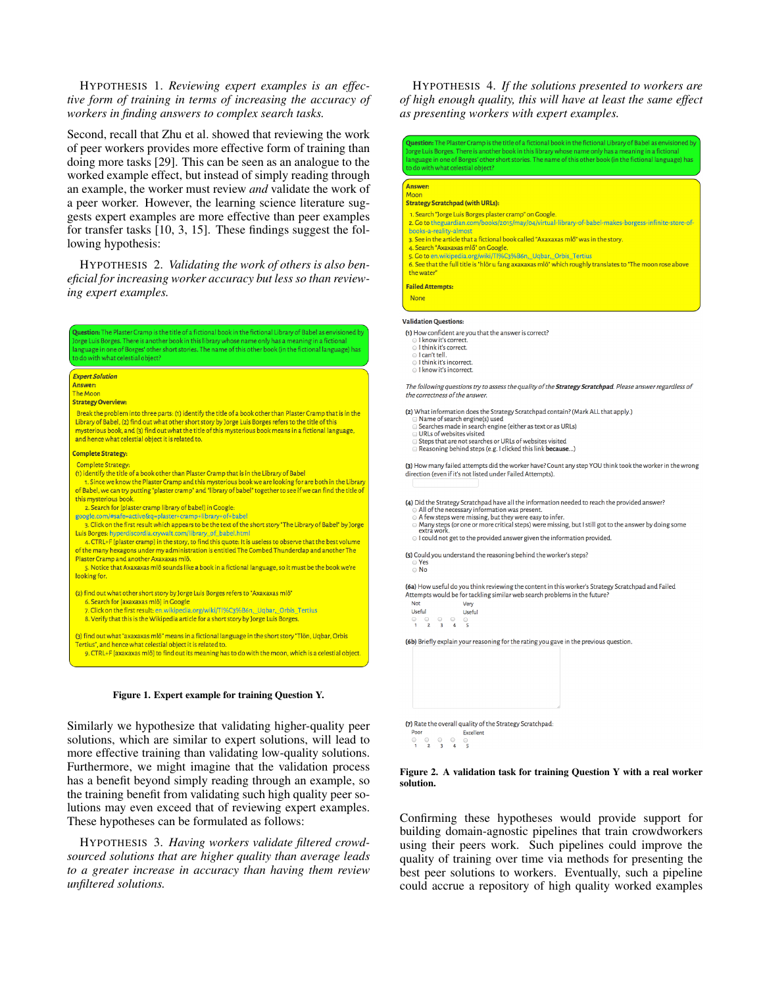# HYPOTHESIS 1. *Reviewing expert examples is an effective form of training in terms of increasing the accuracy of workers in finding answers to complex search tasks.*

Second, recall that Zhu et al. showed that reviewing the work of peer workers provides more effective form of training than doing more tasks [\[29\]](#page-11-1). This can be seen as an analogue to the worked example effect, but instead of simply reading through an example, the worker must review *and* validate the work of a peer worker. However, the learning science literature suggests expert examples are more effective than peer examples for transfer tasks [\[10,](#page-10-19) [3,](#page-10-20) [15\]](#page-10-21). These findings suggest the following hypothesis:

HYPOTHESIS 2. *Validating the work of others is also beneficial for increasing worker accuracy but less so than reviewing expert examples.*

Question: The Plaster Cramp is the title of a fictional book in the fictional Library of Babel as envisioned b .<br>orge Luis Borges. There is another book in this library whose name only has a meaning in a fictional nguage in one of Borges' other short stories. The name of this other book (in the fictional language) has do with what celestial object? **Expert Solution The Moon Strategy Overview:** Break the problem into three parts: (1) identify the title of a book other than Plaster Cramp that is in the Library of Babel, (2) find out what other short story by Jorge Luis Borges refers to the title of this mysterious book, and (3) find out what the title of this mysterious book means in a fictional language, and hence what celestial object it is related to. **Complete Strategy** Complete Strategy: (1) identify the title of a book other than Plaster Cramp that is in the Library of Babel 1. Since we know the Plaster Cramp and this mysterious book we are looking for are both in the Library of Babel, we can try putting "plaster cramp" and "library of babel" together to see if we can find the title of this mysterious book. 2. Search for [plaster cramp library of babel] in Google: google.com/#safe=active&q=plaster+cramp+library+of+babel 3. Click on the first result which appears to be the text of the short story "The Library of Babel" by Jorge Luis Borges: hyperdiscordia.crywalt.com/library\_of\_babel.html 4. CTRL+F (plaster cramp) in the story, to find this quote: It is useless to observe that the best volume<br>of the many hexagons under my administration is entitled The Combed Thunderclap and another The Plaster Cramp and another Axaxaxas mlö. 5. Notice that Axaxaxas mlö sounds like a book in a fictional language, so it must be the book we're looking for. (2) find out what other short story by Jorge Luis Borges refers to "Axaxaxas mlö" 6. Search for [axaxaxas mlö] in Google 7. Click on the first result: en.wikipedia.org/wiki/Tl%C3%B6n,\_Uqbar,\_Orbis\_Tertius 8. Verify that this is the Wikipedia article for a short story by Jorge Luis Borges. (3) find out what "axaxaxas mlö" means in a fictional language in the short story "Tlön, Uqbar, Orbis Tertius", and hence what celestial object it is related to



<span id="page-2-0"></span>9. CTRL+F [axaxaxas mlö] to find out its meaning has to do with the moon, which is a celestial object.

Similarly we hypothesize that validating higher-quality peer solutions, which are similar to expert solutions, will lead to more effective training than validating low-quality solutions. Furthermore, we might imagine that the validation process has a benefit beyond simply reading through an example, so the training benefit from validating such high quality peer solutions may even exceed that of reviewing expert examples. These hypotheses can be formulated as follows:

HYPOTHESIS 3. *Having workers validate filtered crowdsourced solutions that are higher quality than average leads to a greater increase in accuracy than having them review unfiltered solutions.*

HYPOTHESIS 4. *If the solutions presented to workers are of high enough quality, this will have at least the same effect as presenting workers with expert examples.*

**Duestion:** The Plaster Cramp is the title of a fictional book in the fictional Library of Babel as envisioned by rge Luis Borges. There is another book in this library whose name only has a meaning in a fictional nguage in one of Borges' other short stories. The name of this other book (in the fictional language) has do with what celestial object?

#### **Answer:**

- **Strategy Scratchpad (with URLs):**
- 1. Search "Jorge Luis Borges plaster cramp" on Google
- 2. Go to the guardian.com/books/2015/may/04/virtual-library-of-babel-makes-borgess-infinite-store-of books-a-reality-almost
- pooks a reality all lost<br>2. See in the article that a fictional book called "Avavavas mlõ" was in the story.
- 4. Search "Axaxaxas mlo" on Google. 5. Go to en.wikipedia.org/wiki/Tl%C3%B6n, Uqbar, Orbis\_Tertius
- s. See that the full title is "hlör u fang axaxaxas mlö" which roughly translates to "The moon rose above
- the water
- **Failed Attempts:**
- **None**
- **Validation Ouestions:**

(1) How confident are you that the answer is correct?

- I know it's correct I think it's correct.
- 
- □ I can't tell.<br>□ I can't tell.<br>□ I think it's incorrect.
- I know it's incorrect

The following questions try to assess the quality of the Strategy Scratchpad. Please answer regardless of e correctness of the answe

(2) What information does the Strategy Scratchpad contain? (Mark ALL that apply.)

- Name of search engine(s) used Searches made in search engine (either as text or as URLs)
- 
- URLs of websites visited<br>Steps that are not searches or URLs of websites visited
- Reasoning behind steps (e.g. I clicked this link because...)

(3) How many failed attempts did the worker have? Count any step YOU think took the worker in the wrong direction (even if it's not listed under Failed Attempts).

(4) Did the Strategy Scratchpad have all the information needed to reach the provided answer?<br>  $\odot$  All of the necessary information was present.<br>  $\odot$  A few steps were missing, but they were easy to infer.

- 
- A learly steps (or one or more critical steps) were missing, but I still got to the answer by doing some<br>Many steps (or one or more critical steps) were missing, but I still got to the answer by doing some<br>extra work. I could not get to the provided answer given the information provided.
- 

(5) Could you understand the reasoning behind the worker's steps?

(6a) How useful do you think reviewing the content in this worker's Strategy Scratchpad and Failed Attempts would be for tackling similar web search problems in the future?

| <b>Not</b>    |    |    |   | Very   |
|---------------|----|----|---|--------|
| <b>Useful</b> |    |    |   | Useful |
| 0             | 60 | 60 | o |        |
| ٦             |    |    |   |        |

(6b) Briefly explain your reasoning for the rating you gave in the previous question.



#### <span id="page-2-1"></span>Figure 2. A validation task for training Question Y with a real worker solution.

Confirming these hypotheses would provide support for building domain-agnostic pipelines that train crowdworkers using their peers work. Such pipelines could improve the quality of training over time via methods for presenting the best peer solutions to workers. Eventually, such a pipeline could accrue a repository of high quality worked examples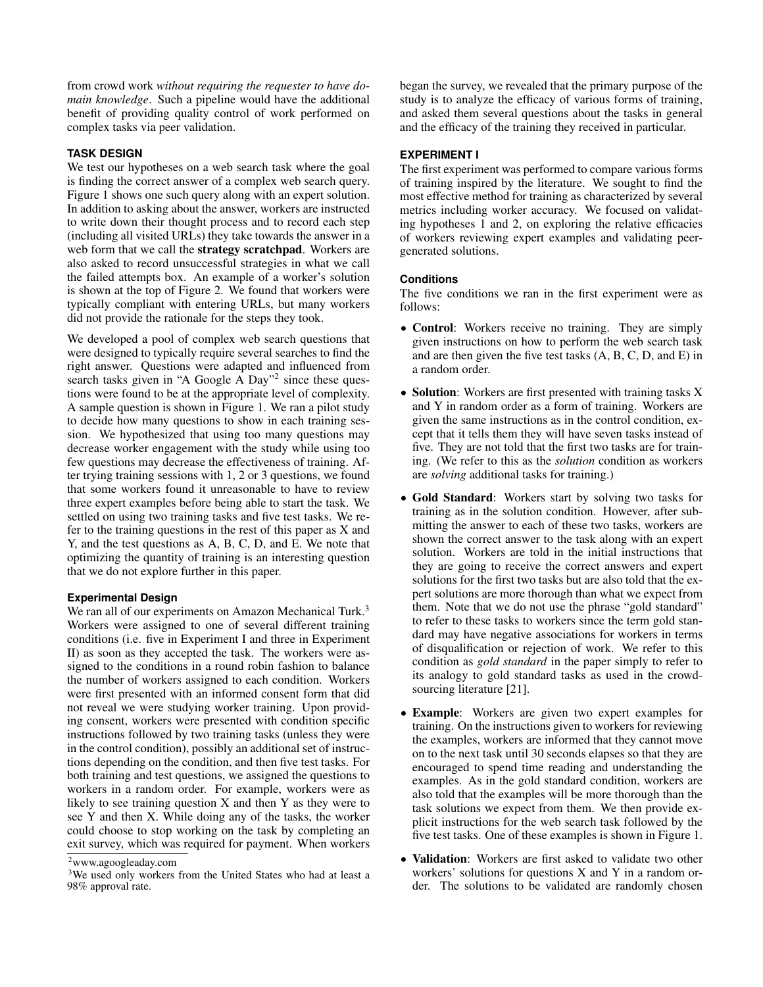from crowd work *without requiring the requester to have domain knowledge*. Such a pipeline would have the additional benefit of providing quality control of work performed on complex tasks via peer validation.

# **TASK DESIGN**

We test our hypotheses on a web search task where the goal is finding the correct answer of a complex web search query. Figure [1](#page-2-0) shows one such query along with an expert solution. In addition to asking about the answer, workers are instructed to write down their thought process and to record each step (including all visited URLs) they take towards the answer in a web form that we call the **strategy scratchpad**. Workers are also asked to record unsuccessful strategies in what we call the failed attempts box. An example of a worker's solution is shown at the top of Figure [2.](#page-2-1) We found that workers were typically compliant with entering URLs, but many workers did not provide the rationale for the steps they took.

We developed a pool of complex web search questions that were designed to typically require several searches to find the right answer. Questions were adapted and influenced from search tasks given in "A Google A Day"<sup>[2](#page-3-0)</sup> since these questions were found to be at the appropriate level of complexity. A sample question is shown in Figure [1.](#page-2-0) We ran a pilot study to decide how many questions to show in each training session. We hypothesized that using too many questions may decrease worker engagement with the study while using too few questions may decrease the effectiveness of training. After trying training sessions with 1, 2 or 3 questions, we found that some workers found it unreasonable to have to review three expert examples before being able to start the task. We settled on using two training tasks and five test tasks. We refer to the training questions in the rest of this paper as X and Y, and the test questions as A, B, C, D, and E. We note that optimizing the quantity of training is an interesting question that we do not explore further in this paper.

# **Experimental Design**

We ran all of our experiments on Amazon Mechanical Turk.<sup>[3](#page-3-1)</sup> Workers were assigned to one of several different training conditions (i.e. five in Experiment I and three in Experiment II) as soon as they accepted the task. The workers were assigned to the conditions in a round robin fashion to balance the number of workers assigned to each condition. Workers were first presented with an informed consent form that did not reveal we were studying worker training. Upon providing consent, workers were presented with condition specific instructions followed by two training tasks (unless they were in the control condition), possibly an additional set of instructions depending on the condition, and then five test tasks. For both training and test questions, we assigned the questions to workers in a random order. For example, workers were as likely to see training question  $X$  and then  $Y$  as they were to see Y and then X. While doing any of the tasks, the worker could choose to stop working on the task by completing an exit survey, which was required for payment. When workers

began the survey, we revealed that the primary purpose of the study is to analyze the efficacy of various forms of training, and asked them several questions about the tasks in general and the efficacy of the training they received in particular.

# **EXPERIMENT I**

The first experiment was performed to compare various forms of training inspired by the literature. We sought to find the most effective method for training as characterized by several metrics including worker accuracy. We focused on validating hypotheses 1 and 2, on exploring the relative efficacies of workers reviewing expert examples and validating peergenerated solutions.

# **Conditions**

The five conditions we ran in the first experiment were as follows:

- Control: Workers receive no training. They are simply given instructions on how to perform the web search task and are then given the five test tasks (A, B, C, D, and E) in a random order.
- Solution: Workers are first presented with training tasks X and Y in random order as a form of training. Workers are given the same instructions as in the control condition, except that it tells them they will have seven tasks instead of five. They are not told that the first two tasks are for training. (We refer to this as the *solution* condition as workers are *solving* additional tasks for training.)
- Gold Standard: Workers start by solving two tasks for training as in the solution condition. However, after submitting the answer to each of these two tasks, workers are shown the correct answer to the task along with an expert solution. Workers are told in the initial instructions that they are going to receive the correct answers and expert solutions for the first two tasks but are also told that the expert solutions are more thorough than what we expect from them. Note that we do not use the phrase "gold standard" to refer to these tasks to workers since the term gold standard may have negative associations for workers in terms of disqualification or rejection of work. We refer to this condition as *gold standard* in the paper simply to refer to its analogy to gold standard tasks as used in the crowdsourcing literature [\[21\]](#page-10-4).
- Example: Workers are given two expert examples for training. On the instructions given to workers for reviewing the examples, workers are informed that they cannot move on to the next task until 30 seconds elapses so that they are encouraged to spend time reading and understanding the examples. As in the gold standard condition, workers are also told that the examples will be more thorough than the task solutions we expect from them. We then provide explicit instructions for the web search task followed by the five test tasks. One of these examples is shown in Figure [1.](#page-2-0)
- Validation: Workers are first asked to validate two other workers' solutions for questions X and Y in a random order. The solutions to be validated are randomly chosen

<span id="page-3-0"></span><sup>2</sup>www.agoogleaday.com

<span id="page-3-1"></span><sup>&</sup>lt;sup>3</sup>We used only workers from the United States who had at least a 98% approval rate.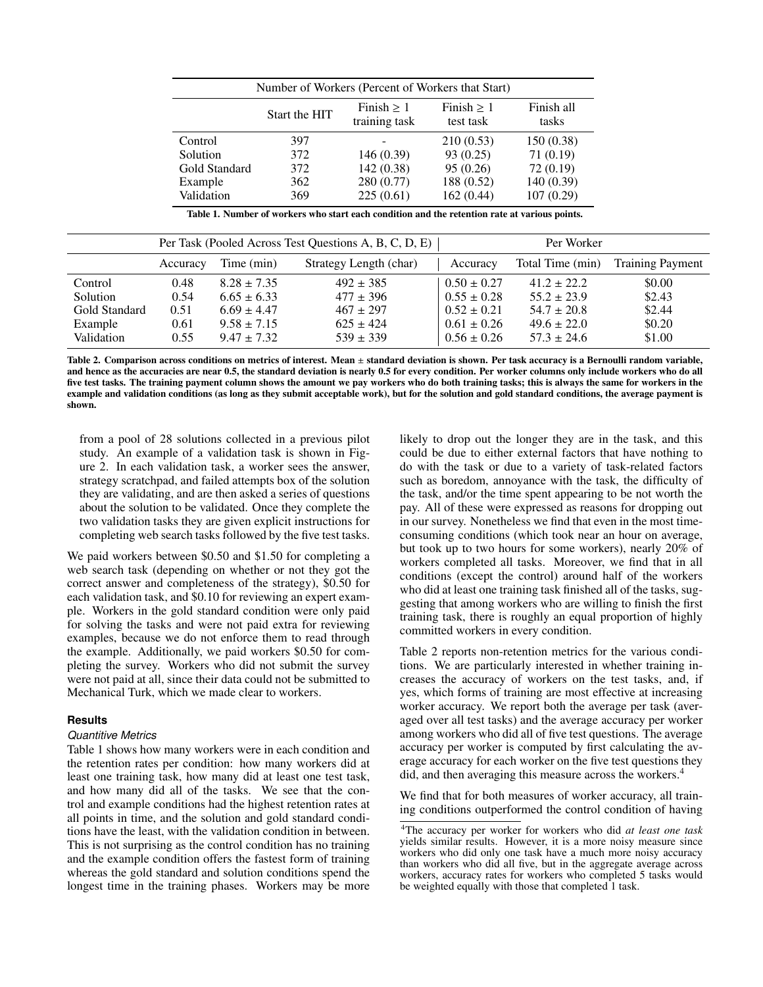| Number of Workers (Percent of Workers that Start)                                                 |     |            |            |            |  |  |
|---------------------------------------------------------------------------------------------------|-----|------------|------------|------------|--|--|
| Finish $> 1$<br>Finally > 1<br>Finish all<br>Start the HIT<br>training task<br>test task<br>tasks |     |            |            |            |  |  |
| Control                                                                                           | 397 |            | 210(0.53)  | 150(0.38)  |  |  |
| Solution                                                                                          | 372 | 146(0.39)  | 93(0.25)   | 71(0.19)   |  |  |
| Gold Standard                                                                                     | 372 | 142(0.38)  | 95(0.26)   | 72 (0.19)  |  |  |
| Example                                                                                           | 362 | 280 (0.77) | 188 (0.52) | 140 (0.39) |  |  |
| Validation                                                                                        | 369 | 225(0.61)  | 162(0.44)  | 107(0.29)  |  |  |

|               | Per Task (Pooled Across Test Questions A, B, C, D, E) |                 |                        |                 | Per Worker       |                         |
|---------------|-------------------------------------------------------|-----------------|------------------------|-----------------|------------------|-------------------------|
|               | Accuracy                                              | Time (min)      | Strategy Length (char) | Accuracy        | Total Time (min) | <b>Training Payment</b> |
| Control       | 0.48                                                  | $8.28 + 7.35$   | $492 \pm 385$          | $0.50 \pm 0.27$ | $41.2 + 22.2$    | \$0.00                  |
| Solution      | 0.54                                                  | $6.65 \pm 6.33$ | $477 \pm 396$          | $0.55 \pm 0.28$ | $55.2 \pm 23.9$  | \$2.43                  |
| Gold Standard | 0.51                                                  | $6.69 \pm 4.47$ | $467 \pm 297$          | $0.52 \pm 0.21$ | $54.7 \pm 20.8$  | \$2.44                  |
| Example       | 0.61                                                  | $9.58 \pm 7.15$ | $625 \pm 424$          | $0.61 \pm 0.26$ | $49.6 \pm 22.0$  | \$0.20                  |
| Validation    | 0.55                                                  | $9.47 + 7.32$   | $539 \pm 339$          | $0.56 \pm 0.26$ | $57.3 \pm 24.6$  | \$1.00                  |

Table 2. Comparison across conditions on metrics of interest. Mean ± standard deviation is shown. Per task accuracy is a Bernoulli random variable, and hence as the accuracies are near 0.5, the standard deviation is nearly 0.5 for every condition. Per worker columns only include workers who do all five test tasks. The training payment column shows the amount we pay workers who do both training tasks; this is always the same for workers in the example and validation conditions (as long as they submit acceptable work), but for the solution and gold standard conditions, the average payment is shown.

from a pool of 28 solutions collected in a previous pilot study. An example of a validation task is shown in Figure [2.](#page-2-1) In each validation task, a worker sees the answer, strategy scratchpad, and failed attempts box of the solution they are validating, and are then asked a series of questions about the solution to be validated. Once they complete the two validation tasks they are given explicit instructions for completing web search tasks followed by the five test tasks.

We paid workers between \$0.50 and \$1.50 for completing a web search task (depending on whether or not they got the correct answer and completeness of the strategy), \$0.50 for each validation task, and \$0.10 for reviewing an expert example. Workers in the gold standard condition were only paid for solving the tasks and were not paid extra for reviewing examples, because we do not enforce them to read through the example. Additionally, we paid workers \$0.50 for completing the survey. Workers who did not submit the survey were not paid at all, since their data could not be submitted to Mechanical Turk, which we made clear to workers.

# **Results**

# *Quantitive Metrics*

Table [1](#page-4-0) shows how many workers were in each condition and the retention rates per condition: how many workers did at least one training task, how many did at least one test task, and how many did all of the tasks. We see that the control and example conditions had the highest retention rates at all points in time, and the solution and gold standard conditions have the least, with the validation condition in between. This is not surprising as the control condition has no training and the example condition offers the fastest form of training whereas the gold standard and solution conditions spend the longest time in the training phases. Workers may be more <span id="page-4-1"></span><span id="page-4-0"></span>likely to drop out the longer they are in the task, and this could be due to either external factors that have nothing to do with the task or due to a variety of task-related factors such as boredom, annoyance with the task, the difficulty of the task, and/or the time spent appearing to be not worth the pay. All of these were expressed as reasons for dropping out in our survey. Nonetheless we find that even in the most timeconsuming conditions (which took near an hour on average, but took up to two hours for some workers), nearly 20% of workers completed all tasks. Moreover, we find that in all conditions (except the control) around half of the workers who did at least one training task finished all of the tasks, suggesting that among workers who are willing to finish the first training task, there is roughly an equal proportion of highly committed workers in every condition.

Table [2](#page-4-1) reports non-retention metrics for the various conditions. We are particularly interested in whether training increases the accuracy of workers on the test tasks, and, if yes, which forms of training are most effective at increasing worker accuracy. We report both the average per task (averaged over all test tasks) and the average accuracy per worker among workers who did all of five test questions. The average accuracy per worker is computed by first calculating the average accuracy for each worker on the five test questions they did, and then averaging this measure across the workers.<sup>[4](#page-4-2)</sup>

We find that for both measures of worker accuracy, all training conditions outperformed the control condition of having

<span id="page-4-2"></span><sup>4</sup>The accuracy per worker for workers who did *at least one task* yields similar results. However, it is a more noisy measure since workers who did only one task have a much more noisy accuracy than workers who did all five, but in the aggregate average across workers, accuracy rates for workers who completed 5 tasks would be weighted equally with those that completed 1 task.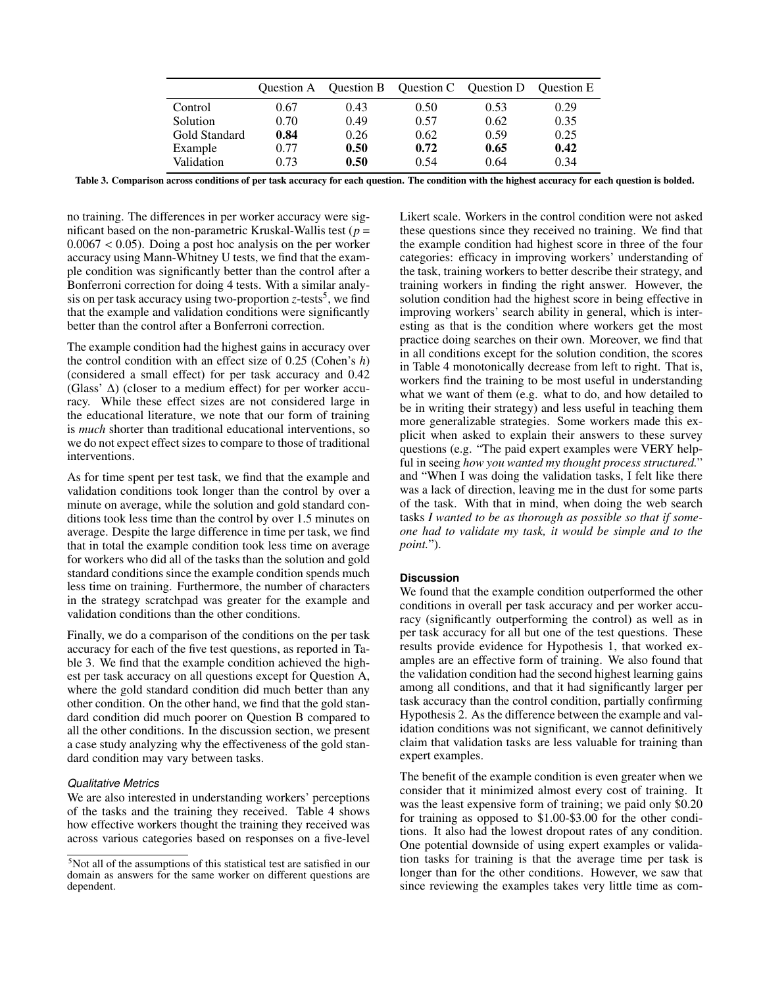|               |      |      | Question A Question B Question C Question D Question E |      |      |
|---------------|------|------|--------------------------------------------------------|------|------|
| Control       | 0.67 | 0.43 | 0.50                                                   | 0.53 | 0.29 |
| Solution      | 0.70 | 0.49 | 0.57                                                   | 0.62 | 0.35 |
| Gold Standard | 0.84 | 0.26 | 0.62                                                   | 0.59 | 0.25 |
| Example       | 0.77 | 0.50 | 0.72                                                   | 0.65 | 0.42 |
| Validation    | 0.73 | 0.50 | 0.54                                                   | 0.64 | 0.34 |

Table 3. Comparison across conditions of per task accuracy for each question. The condition with the highest accuracy for each question is bolded.

no training. The differences in per worker accuracy were significant based on the non-parametric Kruskal-Wallis test (*p* = 0.0067 < 0.05). Doing a post hoc analysis on the per worker accuracy using Mann-Whitney U tests, we find that the example condition was significantly better than the control after a Bonferroni correction for doing 4 tests. With a similar analysis on per task accuracy using two-proportion *z*-tests<sup>[5](#page-5-0)</sup>, we find that the example and validation conditions were significantly better than the control after a Bonferroni correction.

The example condition had the highest gains in accuracy over the control condition with an effect size of 0.25 (Cohen's *h*) (considered a small effect) for per task accuracy and 0.42 (Glass' ∆) (closer to a medium effect) for per worker accuracy. While these effect sizes are not considered large in the educational literature, we note that our form of training is *much* shorter than traditional educational interventions, so we do not expect effect sizes to compare to those of traditional interventions.

As for time spent per test task, we find that the example and validation conditions took longer than the control by over a minute on average, while the solution and gold standard conditions took less time than the control by over 1.5 minutes on average. Despite the large difference in time per task, we find that in total the example condition took less time on average for workers who did all of the tasks than the solution and gold standard conditions since the example condition spends much less time on training. Furthermore, the number of characters in the strategy scratchpad was greater for the example and validation conditions than the other conditions.

Finally, we do a comparison of the conditions on the per task accuracy for each of the five test questions, as reported in Table [3.](#page-5-1) We find that the example condition achieved the highest per task accuracy on all questions except for Question A, where the gold standard condition did much better than any other condition. On the other hand, we find that the gold standard condition did much poorer on Question B compared to all the other conditions. In the discussion section, we present a case study analyzing why the effectiveness of the gold standard condition may vary between tasks.

# *Qualitative Metrics*

We are also interested in understanding workers' perceptions of the tasks and the training they received. Table [4](#page-6-0) shows how effective workers thought the training they received was across various categories based on responses on a five-level

<span id="page-5-1"></span>Likert scale. Workers in the control condition were not asked these questions since they received no training. We find that the example condition had highest score in three of the four categories: efficacy in improving workers' understanding of the task, training workers to better describe their strategy, and training workers in finding the right answer. However, the solution condition had the highest score in being effective in improving workers' search ability in general, which is interesting as that is the condition where workers get the most practice doing searches on their own. Moreover, we find that in all conditions except for the solution condition, the scores in Table [4](#page-6-0) monotonically decrease from left to right. That is, workers find the training to be most useful in understanding what we want of them (e.g. what to do, and how detailed to be in writing their strategy) and less useful in teaching them more generalizable strategies. Some workers made this explicit when asked to explain their answers to these survey questions (e.g. "The paid expert examples were VERY helpful in seeing *how you wanted my thought process structured.*" and "When I was doing the validation tasks, I felt like there was a lack of direction, leaving me in the dust for some parts of the task. With that in mind, when doing the web search tasks *I wanted to be as thorough as possible so that if someone had to validate my task, it would be simple and to the point.*").

# **Discussion**

We found that the example condition outperformed the other conditions in overall per task accuracy and per worker accuracy (significantly outperforming the control) as well as in per task accuracy for all but one of the test questions. These results provide evidence for Hypothesis 1, that worked examples are an effective form of training. We also found that the validation condition had the second highest learning gains among all conditions, and that it had significantly larger per task accuracy than the control condition, partially confirming Hypothesis 2. As the difference between the example and validation conditions was not significant, we cannot definitively claim that validation tasks are less valuable for training than expert examples.

The benefit of the example condition is even greater when we consider that it minimized almost every cost of training. It was the least expensive form of training; we paid only \$0.20 for training as opposed to \$1.00-\$3.00 for the other conditions. It also had the lowest dropout rates of any condition. One potential downside of using expert examples or validation tasks for training is that the average time per task is longer than for the other conditions. However, we saw that since reviewing the examples takes very little time as com-

<span id="page-5-0"></span><sup>5</sup>Not all of the assumptions of this statistical test are satisfied in our domain as answers for the same worker on different questions are dependent.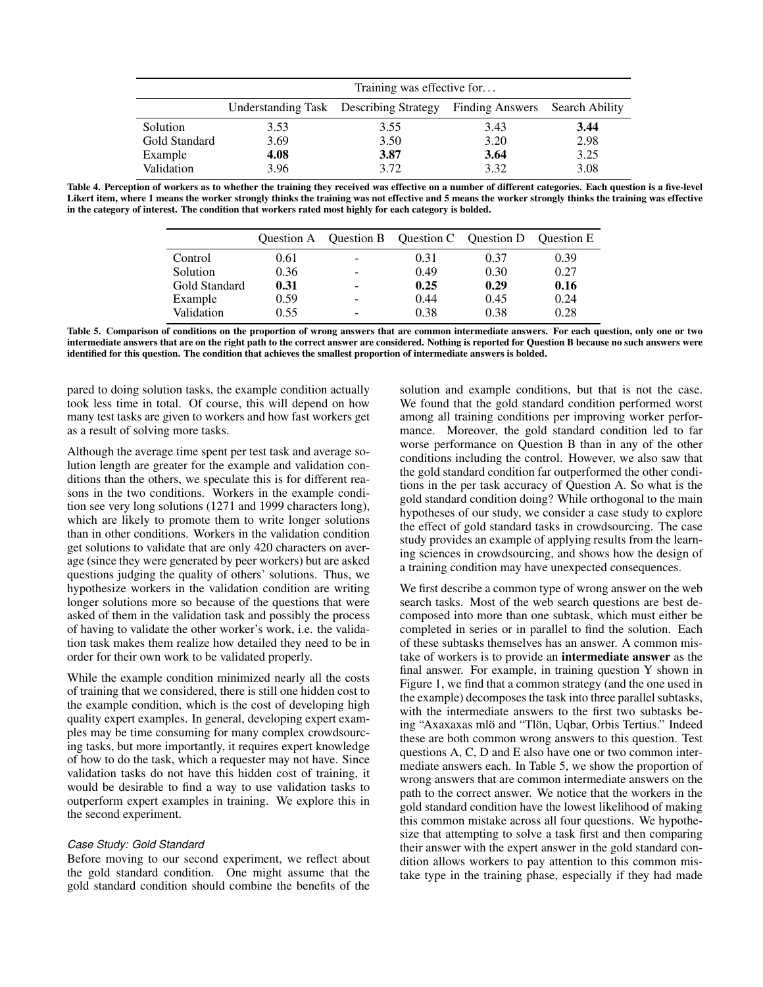|               | Training was effective for |                                        |                                |      |  |
|---------------|----------------------------|----------------------------------------|--------------------------------|------|--|
|               |                            | Understanding Task Describing Strategy | Finding Answers Search Ability |      |  |
| Solution      | 3.53                       | 3.55                                   | 3.43                           | 3.44 |  |
| Gold Standard | 3.69                       | 3.50                                   | 3.20                           | 2.98 |  |
| Example       | 4.08                       | 3.87                                   | 3.64                           | 3.25 |  |
| Validation    | 3.96                       | 3.72                                   | 3.32                           | 3.08 |  |

Table 4. Perception of workers as to whether the training they received was effective on a number of different categories. Each question is a five-level Likert item, where 1 means the worker strongly thinks the training was not effective and 5 means the worker strongly thinks the training was effective in the category of interest. The condition that workers rated most highly for each category is bolded.

|               |      |   | Question A Question B Question C Question D Question E |      |      |
|---------------|------|---|--------------------------------------------------------|------|------|
| Control       | 0.61 | - | 0.31                                                   | 0.37 | 0.39 |
| Solution      | 0.36 | ۰ | 0.49                                                   | 0.30 | 0.27 |
| Gold Standard | 0.31 | - | 0.25                                                   | 0.29 | 0.16 |
| Example       | 0.59 | - | 0.44                                                   | 0.45 | 0.24 |
| Validation    | 0.55 | ۰ | 0.38                                                   | 0.38 | 0.28 |

Table 5. Comparison of conditions on the proportion of wrong answers that are common intermediate answers. For each question, only one or two intermediate answers that are on the right path to the correct answer are considered. Nothing is reported for Question B because no such answers were identified for this question. The condition that achieves the smallest proportion of intermediate answers is bolded.

pared to doing solution tasks, the example condition actually took less time in total. Of course, this will depend on how many test tasks are given to workers and how fast workers get as a result of solving more tasks.

Although the average time spent per test task and average solution length are greater for the example and validation conditions than the others, we speculate this is for different reasons in the two conditions. Workers in the example condition see very long solutions (1271 and 1999 characters long), which are likely to promote them to write longer solutions than in other conditions. Workers in the validation condition get solutions to validate that are only 420 characters on average (since they were generated by peer workers) but are asked questions judging the quality of others' solutions. Thus, we hypothesize workers in the validation condition are writing longer solutions more so because of the questions that were asked of them in the validation task and possibly the process of having to validate the other worker's work, i.e. the validation task makes them realize how detailed they need to be in order for their own work to be validated properly.

While the example condition minimized nearly all the costs of training that we considered, there is still one hidden cost to the example condition, which is the cost of developing high quality expert examples. In general, developing expert examples may be time consuming for many complex crowdsourcing tasks, but more importantly, it requires expert knowledge of how to do the task, which a requester may not have. Since validation tasks do not have this hidden cost of training, it would be desirable to find a way to use validation tasks to outperform expert examples in training. We explore this in the second experiment.

#### *Case Study: Gold Standard*

Before moving to our second experiment, we reflect about the gold standard condition. One might assume that the gold standard condition should combine the benefits of the <span id="page-6-1"></span><span id="page-6-0"></span>solution and example conditions, but that is not the case. We found that the gold standard condition performed worst among all training conditions per improving worker performance. Moreover, the gold standard condition led to far worse performance on Question B than in any of the other conditions including the control. However, we also saw that the gold standard condition far outperformed the other conditions in the per task accuracy of Question A. So what is the gold standard condition doing? While orthogonal to the main hypotheses of our study, we consider a case study to explore the effect of gold standard tasks in crowdsourcing. The case study provides an example of applying results from the learning sciences in crowdsourcing, and shows how the design of a training condition may have unexpected consequences.

We first describe a common type of wrong answer on the web search tasks. Most of the web search questions are best decomposed into more than one subtask, which must either be completed in series or in parallel to find the solution. Each of these subtasks themselves has an answer. A common mistake of workers is to provide an intermediate answer as the final answer. For example, in training question Y shown in Figure [1,](#page-2-0) we find that a common strategy (and the one used in the example) decomposes the task into three parallel subtasks, with the intermediate answers to the first two subtasks being "Axaxaxas mlö and "Tlön, Uqbar, Orbis Tertius." Indeed these are both common wrong answers to this question. Test questions A, C, D and E also have one or two common intermediate answers each. In Table [5,](#page-6-1) we show the proportion of wrong answers that are common intermediate answers on the path to the correct answer. We notice that the workers in the gold standard condition have the lowest likelihood of making this common mistake across all four questions. We hypothesize that attempting to solve a task first and then comparing their answer with the expert answer in the gold standard condition allows workers to pay attention to this common mistake type in the training phase, especially if they had made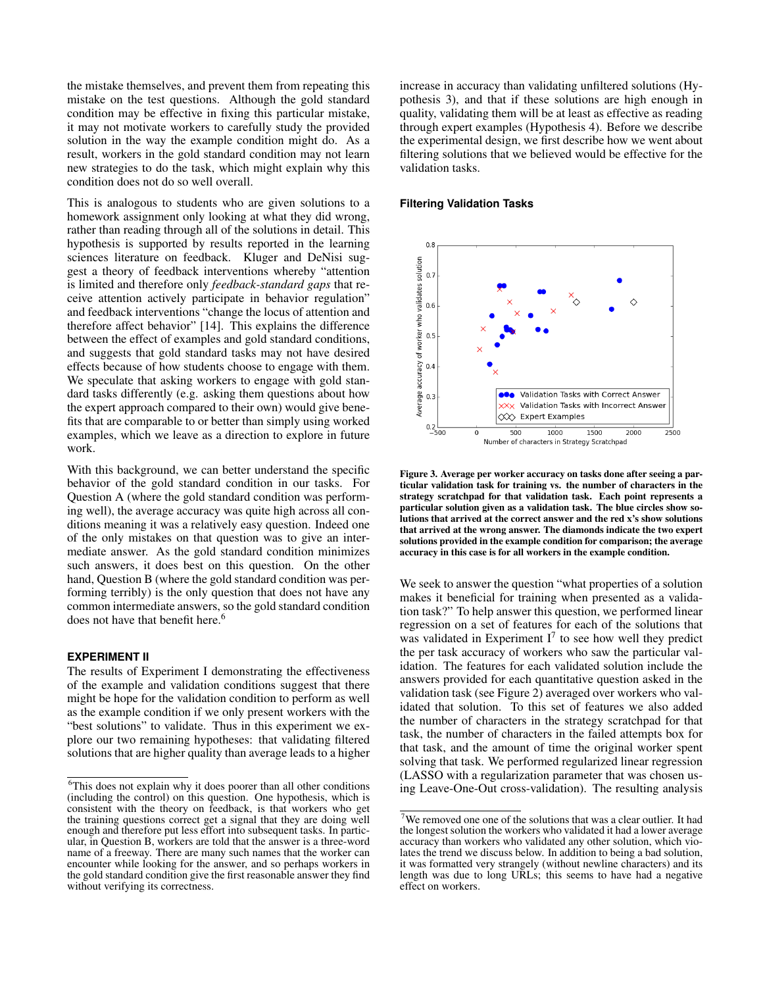the mistake themselves, and prevent them from repeating this mistake on the test questions. Although the gold standard condition may be effective in fixing this particular mistake, it may not motivate workers to carefully study the provided solution in the way the example condition might do. As a result, workers in the gold standard condition may not learn new strategies to do the task, which might explain why this condition does not do so well overall.

This is analogous to students who are given solutions to a homework assignment only looking at what they did wrong, rather than reading through all of the solutions in detail. This hypothesis is supported by results reported in the learning sciences literature on feedback. Kluger and DeNisi suggest a theory of feedback interventions whereby "attention is limited and therefore only *feedback-standard gaps* that receive attention actively participate in behavior regulation" and feedback interventions "change the locus of attention and therefore affect behavior" [\[14\]](#page-10-22). This explains the difference between the effect of examples and gold standard conditions, and suggests that gold standard tasks may not have desired effects because of how students choose to engage with them. We speculate that asking workers to engage with gold standard tasks differently (e.g. asking them questions about how the expert approach compared to their own) would give benefits that are comparable to or better than simply using worked examples, which we leave as a direction to explore in future work.

With this background, we can better understand the specific behavior of the gold standard condition in our tasks. For Question A (where the gold standard condition was performing well), the average accuracy was quite high across all conditions meaning it was a relatively easy question. Indeed one of the only mistakes on that question was to give an intermediate answer. As the gold standard condition minimizes such answers, it does best on this question. On the other hand, Question B (where the gold standard condition was performing terribly) is the only question that does not have any common intermediate answers, so the gold standard condition does not have that benefit here.<sup>[6](#page-7-0)</sup>

# **EXPERIMENT II**

The results of Experiment I demonstrating the effectiveness of the example and validation conditions suggest that there might be hope for the validation condition to perform as well as the example condition if we only present workers with the "best solutions" to validate. Thus in this experiment we explore our two remaining hypotheses: that validating filtered solutions that are higher quality than average leads to a higher

increase in accuracy than validating unfiltered solutions (Hypothesis 3), and that if these solutions are high enough in quality, validating them will be at least as effective as reading through expert examples (Hypothesis 4). Before we describe the experimental design, we first describe how we went about filtering solutions that we believed would be effective for the validation tasks.

#### **Filtering Validation Tasks**



<span id="page-7-2"></span>Figure 3. Average per worker accuracy on tasks done after seeing a particular validation task for training vs. the number of characters in the strategy scratchpad for that validation task. Each point represents a particular solution given as a validation task. The blue circles show solutions that arrived at the correct answer and the red x's show solutions that arrived at the wrong answer. The diamonds indicate the two expert solutions provided in the example condition for comparison; the average accuracy in this case is for all workers in the example condition.

We seek to answer the question "what properties of a solution makes it beneficial for training when presented as a validation task?" To help answer this question, we performed linear regression on a set of features for each of the solutions that was validated in Experiment  $I^7$  $I^7$  to see how well they predict the per task accuracy of workers who saw the particular validation. The features for each validated solution include the answers provided for each quantitative question asked in the validation task (see Figure [2\)](#page-2-1) averaged over workers who validated that solution. To this set of features we also added the number of characters in the strategy scratchpad for that task, the number of characters in the failed attempts box for that task, and the amount of time the original worker spent solving that task. We performed regularized linear regression (LASSO with a regularization parameter that was chosen using Leave-One-Out cross-validation). The resulting analysis

<span id="page-7-0"></span><sup>&</sup>lt;sup>6</sup>This does not explain why it does poorer than all other conditions (including the control) on this question. One hypothesis, which is consistent with the theory on feedback, is that workers who get the training questions correct get a signal that they are doing well enough and therefore put less effort into subsequent tasks. In particular, in Question B, workers are told that the answer is a three-word name of a freeway. There are many such names that the worker can encounter while looking for the answer, and so perhaps workers in the gold standard condition give the first reasonable answer they find without verifying its correctness.

<span id="page-7-1"></span><sup>7</sup>We removed one one of the solutions that was a clear outlier. It had the longest solution the workers who validated it had a lower average accuracy than workers who validated any other solution, which violates the trend we discuss below. In addition to being a bad solution, it was formatted very strangely (without newline characters) and its length was due to long URLs; this seems to have had a negative effect on workers.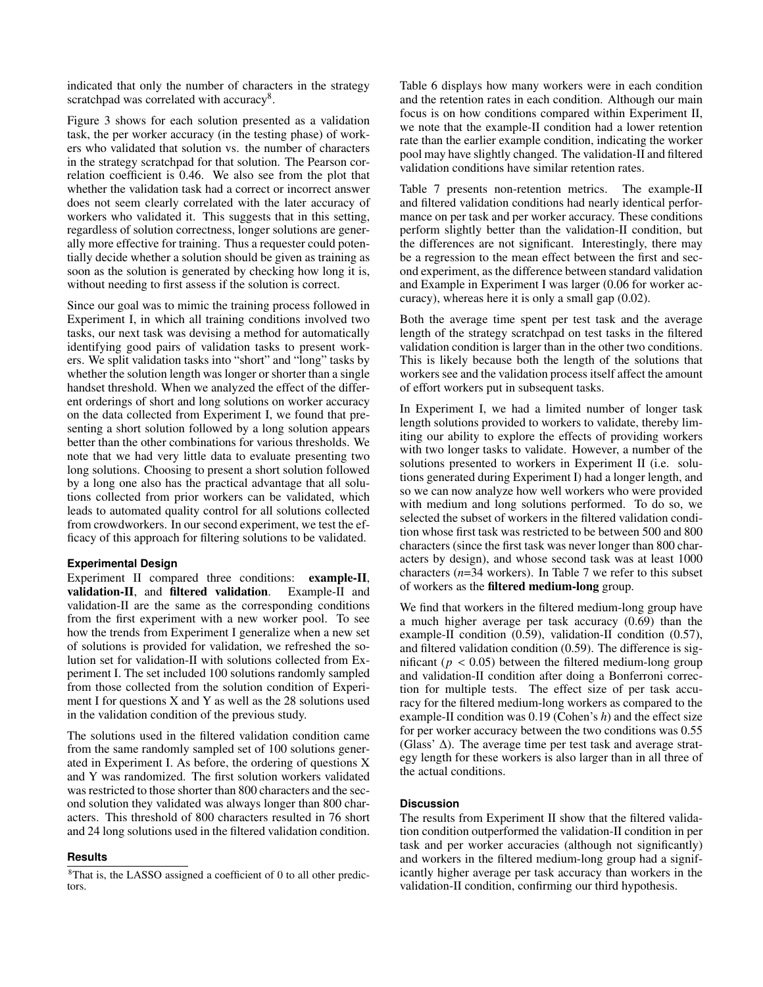indicated that only the number of characters in the strategy scratchpad was correlated with accuracy<sup>[8](#page-8-0)</sup>.

Figure [3](#page-7-2) shows for each solution presented as a validation task, the per worker accuracy (in the testing phase) of workers who validated that solution vs. the number of characters in the strategy scratchpad for that solution. The Pearson correlation coefficient is 0.46. We also see from the plot that whether the validation task had a correct or incorrect answer does not seem clearly correlated with the later accuracy of workers who validated it. This suggests that in this setting, regardless of solution correctness, longer solutions are generally more effective for training. Thus a requester could potentially decide whether a solution should be given as training as soon as the solution is generated by checking how long it is, without needing to first assess if the solution is correct.

Since our goal was to mimic the training process followed in Experiment I, in which all training conditions involved two tasks, our next task was devising a method for automatically identifying good pairs of validation tasks to present workers. We split validation tasks into "short" and "long" tasks by whether the solution length was longer or shorter than a single handset threshold. When we analyzed the effect of the different orderings of short and long solutions on worker accuracy on the data collected from Experiment I, we found that presenting a short solution followed by a long solution appears better than the other combinations for various thresholds. We note that we had very little data to evaluate presenting two long solutions. Choosing to present a short solution followed by a long one also has the practical advantage that all solutions collected from prior workers can be validated, which leads to automated quality control for all solutions collected from crowdworkers. In our second experiment, we test the efficacy of this approach for filtering solutions to be validated.

# **Experimental Design**

Experiment II compared three conditions: example-II, validation-II, and filtered validation. Example-II and validation-II are the same as the corresponding conditions from the first experiment with a new worker pool. To see how the trends from Experiment I generalize when a new set of solutions is provided for validation, we refreshed the solution set for validation-II with solutions collected from Experiment I. The set included 100 solutions randomly sampled from those collected from the solution condition of Experiment I for questions X and Y as well as the 28 solutions used in the validation condition of the previous study.

The solutions used in the filtered validation condition came from the same randomly sampled set of 100 solutions generated in Experiment I. As before, the ordering of questions X and Y was randomized. The first solution workers validated was restricted to those shorter than 800 characters and the second solution they validated was always longer than 800 characters. This threshold of 800 characters resulted in 76 short and 24 long solutions used in the filtered validation condition.

#### **Results**

Table [6](#page-9-1) displays how many workers were in each condition and the retention rates in each condition. Although our main focus is on how conditions compared within Experiment II, we note that the example-II condition had a lower retention rate than the earlier example condition, indicating the worker pool may have slightly changed. The validation-II and filtered validation conditions have similar retention rates.

Table [7](#page-9-2) presents non-retention metrics. The example-II and filtered validation conditions had nearly identical performance on per task and per worker accuracy. These conditions perform slightly better than the validation-II condition, but the differences are not significant. Interestingly, there may be a regression to the mean effect between the first and second experiment, as the difference between standard validation and Example in Experiment I was larger (0.06 for worker accuracy), whereas here it is only a small gap (0.02).

Both the average time spent per test task and the average length of the strategy scratchpad on test tasks in the filtered validation condition is larger than in the other two conditions. This is likely because both the length of the solutions that workers see and the validation process itself affect the amount of effort workers put in subsequent tasks.

In Experiment I, we had a limited number of longer task length solutions provided to workers to validate, thereby limiting our ability to explore the effects of providing workers with two longer tasks to validate. However, a number of the solutions presented to workers in Experiment II (i.e. solutions generated during Experiment I) had a longer length, and so we can now analyze how well workers who were provided with medium and long solutions performed. To do so, we selected the subset of workers in the filtered validation condition whose first task was restricted to be between 500 and 800 characters (since the first task was never longer than 800 characters by design), and whose second task was at least 1000 characters (*n*=34 workers). In Table [7](#page-9-2) we refer to this subset of workers as the filtered medium-long group.

We find that workers in the filtered medium-long group have a much higher average per task accuracy (0.69) than the example-II condition (0.59), validation-II condition (0.57), and filtered validation condition (0.59). The difference is significant ( $p < 0.05$ ) between the filtered medium-long group and validation-II condition after doing a Bonferroni correction for multiple tests. The effect size of per task accuracy for the filtered medium-long workers as compared to the example-II condition was 0.19 (Cohen's *h*) and the effect size for per worker accuracy between the two conditions was 0.55 (Glass' ∆). The average time per test task and average strategy length for these workers is also larger than in all three of the actual conditions.

### **Discussion**

The results from Experiment II show that the filtered validation condition outperformed the validation-II condition in per task and per worker accuracies (although not significantly) and workers in the filtered medium-long group had a significantly higher average per task accuracy than workers in the validation-II condition, confirming our third hypothesis.

<span id="page-8-0"></span><sup>8</sup>That is, the LASSO assigned a coefficient of 0 to all other predictors.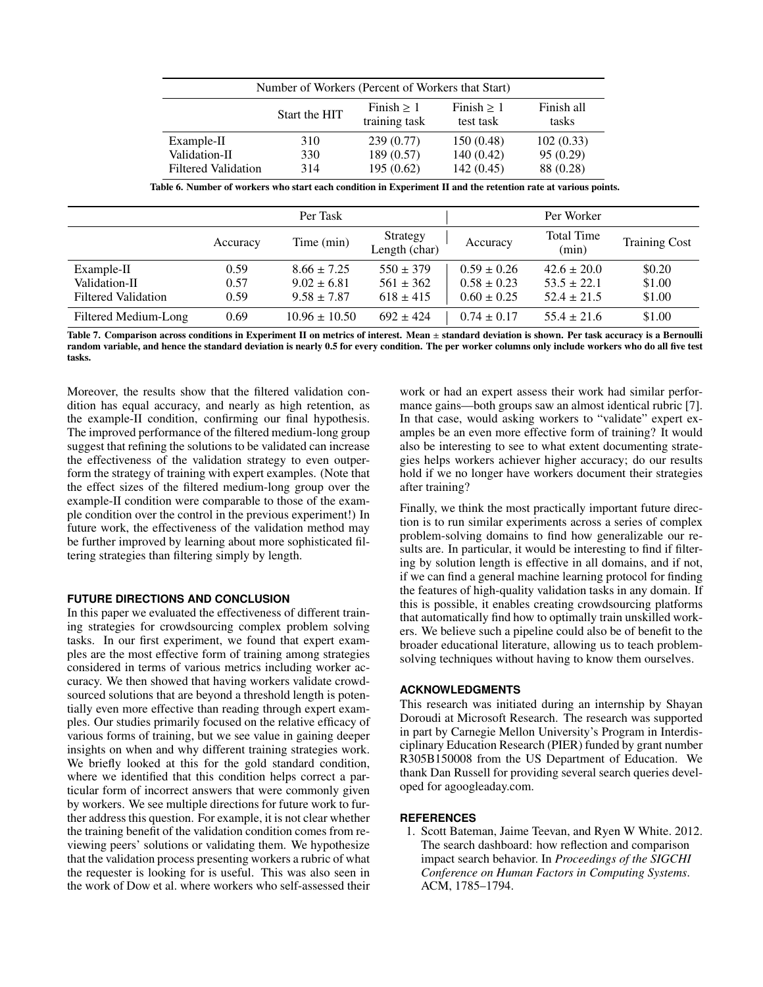| Number of Workers (Percent of Workers that Start)                                                  |     |           |            |           |  |  |
|----------------------------------------------------------------------------------------------------|-----|-----------|------------|-----------|--|--|
| Finish all<br>Finish $> 1$<br>Finish $> 1$<br>Start the HIT<br>training task<br>test task<br>tasks |     |           |            |           |  |  |
| Example-II                                                                                         | 310 | 239(0.77) | 150 (0.48) | 102(0.33) |  |  |
| Validation-II                                                                                      | 330 | 189(0.57) | 140(0.42)  | 95(0.29)  |  |  |
| Filtered Validation                                                                                | 314 | 195(0.62) | 142(0.45)  | 88 (0.28) |  |  |

Table 6. Number of workers who start each condition in Experiment II and the retention rate at various points.

|                            | Per Task |                   |                           | Per Worker      |                            |                      |
|----------------------------|----------|-------------------|---------------------------|-----------------|----------------------------|----------------------|
|                            | Accuracy | Time (min)        | Strategy<br>Length (char) | Accuracy        | <b>Total Time</b><br>(min) | <b>Training Cost</b> |
| Example-II                 | 0.59     | $8.66 \pm 7.25$   | $550 \pm 379$             | $0.59 \pm 0.26$ | $42.6 \pm 20.0$            | \$0.20               |
| Validation-II              | 0.57     | $9.02 \pm 6.81$   | $561 \pm 362$             | $0.58 \pm 0.23$ | $53.5 \pm 22.1$            | \$1.00               |
| <b>Filtered Validation</b> | 0.59     | $9.58 \pm 7.87$   | $618 \pm 415$             | $0.60 \pm 0.25$ | $52.4 \pm 21.5$            | \$1.00               |
| Filtered Medium-Long       | 0.69     | $10.96 \pm 10.50$ | $692 \pm 424$             | $0.74 \pm 0.17$ | $55.4 \pm 21.6$            | \$1.00               |

Table 7. Comparison across conditions in Experiment II on metrics of interest. Mean ± standard deviation is shown. Per task accuracy is a Bernoulli random variable, and hence the standard deviation is nearly 0.5 for every condition. The per worker columns only include workers who do all five test tasks.

Moreover, the results show that the filtered validation condition has equal accuracy, and nearly as high retention, as the example-II condition, confirming our final hypothesis. The improved performance of the filtered medium-long group suggest that refining the solutions to be validated can increase the effectiveness of the validation strategy to even outperform the strategy of training with expert examples. (Note that the effect sizes of the filtered medium-long group over the example-II condition were comparable to those of the example condition over the control in the previous experiment!) In future work, the effectiveness of the validation method may be further improved by learning about more sophisticated filtering strategies than filtering simply by length.

#### **FUTURE DIRECTIONS AND CONCLUSION**

In this paper we evaluated the effectiveness of different training strategies for crowdsourcing complex problem solving tasks. In our first experiment, we found that expert examples are the most effective form of training among strategies considered in terms of various metrics including worker accuracy. We then showed that having workers validate crowdsourced solutions that are beyond a threshold length is potentially even more effective than reading through expert examples. Our studies primarily focused on the relative efficacy of various forms of training, but we see value in gaining deeper insights on when and why different training strategies work. We briefly looked at this for the gold standard condition, where we identified that this condition helps correct a particular form of incorrect answers that were commonly given by workers. We see multiple directions for future work to further address this question. For example, it is not clear whether the training benefit of the validation condition comes from reviewing peers' solutions or validating them. We hypothesize that the validation process presenting workers a rubric of what the requester is looking for is useful. This was also seen in the work of Dow et al. where workers who self-assessed their

<span id="page-9-2"></span><span id="page-9-1"></span>work or had an expert assess their work had similar performance gains—both groups saw an almost identical rubric [\[7\]](#page-10-8). In that case, would asking workers to "validate" expert examples be an even more effective form of training? It would also be interesting to see to what extent documenting strategies helps workers achiever higher accuracy; do our results hold if we no longer have workers document their strategies after training?

Finally, we think the most practically important future direction is to run similar experiments across a series of complex problem-solving domains to find how generalizable our results are. In particular, it would be interesting to find if filtering by solution length is effective in all domains, and if not, if we can find a general machine learning protocol for finding the features of high-quality validation tasks in any domain. If this is possible, it enables creating crowdsourcing platforms that automatically find how to optimally train unskilled workers. We believe such a pipeline could also be of benefit to the broader educational literature, allowing us to teach problemsolving techniques without having to know them ourselves.

#### **ACKNOWLEDGMENTS**

This research was initiated during an internship by Shayan Doroudi at Microsoft Research. The research was supported in part by Carnegie Mellon University's Program in Interdisciplinary Education Research (PIER) funded by grant number R305B150008 from the US Department of Education. We thank Dan Russell for providing several search queries developed for agoogleaday.com.

#### <span id="page-9-0"></span>**REFERENCES**

1. Scott Bateman, Jaime Teevan, and Ryen W White. 2012. The search dashboard: how reflection and comparison impact search behavior. In *Proceedings of the SIGCHI Conference on Human Factors in Computing Systems*. ACM, 1785–1794.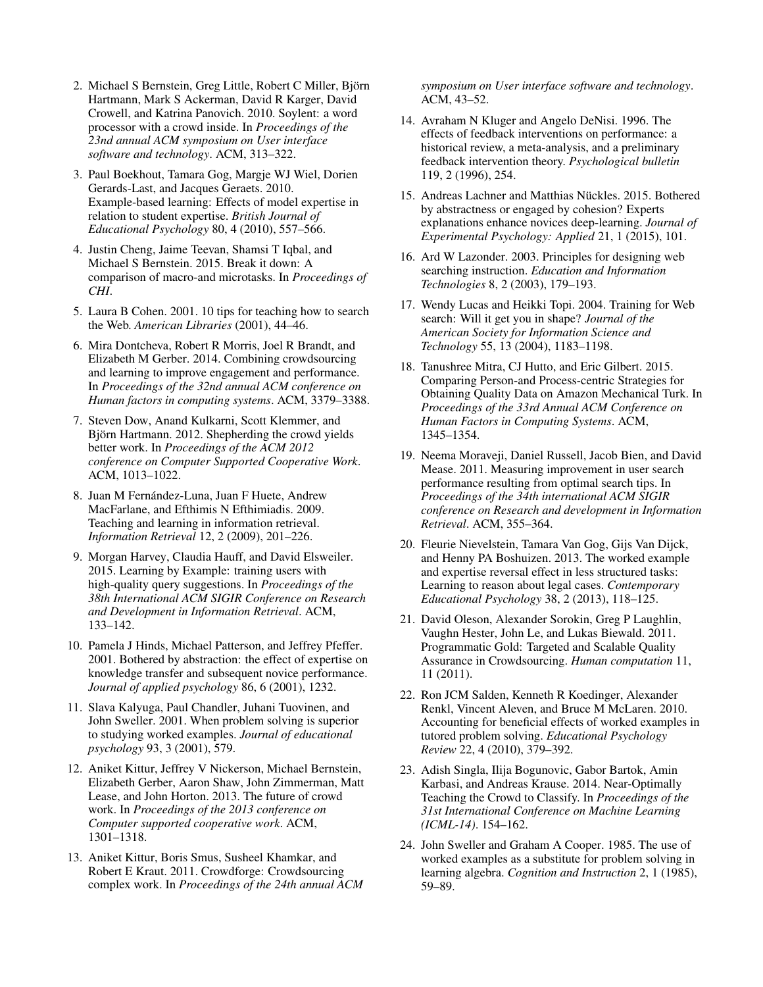- <span id="page-10-3"></span>2. Michael S Bernstein, Greg Little, Robert C Miller, Bjorn ¨ Hartmann, Mark S Ackerman, David R Karger, David Crowell, and Katrina Panovich. 2010. Soylent: a word processor with a crowd inside. In *Proceedings of the 23nd annual ACM symposium on User interface software and technology*. ACM, 313–322.
- <span id="page-10-20"></span>3. Paul Boekhout, Tamara Gog, Margje WJ Wiel, Dorien Gerards-Last, and Jacques Geraets. 2010. Example-based learning: Effects of model expertise in relation to student expertise. *British Journal of Educational Psychology* 80, 4 (2010), 557–566.
- <span id="page-10-2"></span>4. Justin Cheng, Jaime Teevan, Shamsi T Iqbal, and Michael S Bernstein. 2015. Break it down: A comparison of macro-and microtasks. In *Proceedings of CHI*.
- <span id="page-10-11"></span>5. Laura B Cohen. 2001. 10 tips for teaching how to search the Web. *American Libraries* (2001), 44–46.
- <span id="page-10-6"></span>6. Mira Dontcheva, Robert R Morris, Joel R Brandt, and Elizabeth M Gerber. 2014. Combining crowdsourcing and learning to improve engagement and performance. In *Proceedings of the 32nd annual ACM conference on Human factors in computing systems*. ACM, 3379–3388.
- <span id="page-10-8"></span>7. Steven Dow, Anand Kulkarni, Scott Klemmer, and Björn Hartmann. 2012. Shepherding the crowd yields better work. In *Proceedings of the ACM 2012 conference on Computer Supported Cooperative Work*. ACM, 1013–1022.
- <span id="page-10-9"></span>8. Juan M Fernández-Luna, Juan F Huete, Andrew MacFarlane, and Efthimis N Efthimiadis. 2009. Teaching and learning in information retrieval. *Information Retrieval* 12, 2 (2009), 201–226.
- <span id="page-10-13"></span>9. Morgan Harvey, Claudia Hauff, and David Elsweiler. 2015. Learning by Example: training users with high-quality query suggestions. In *Proceedings of the 38th International ACM SIGIR Conference on Research and Development in Information Retrieval*. ACM, 133–142.
- <span id="page-10-19"></span>10. Pamela J Hinds, Michael Patterson, and Jeffrey Pfeffer. 2001. Bothered by abstraction: the effect of expertise on knowledge transfer and subsequent novice performance. *Journal of applied psychology* 86, 6 (2001), 1232.
- <span id="page-10-17"></span>11. Slava Kalyuga, Paul Chandler, Juhani Tuovinen, and John Sweller. 2001. When problem solving is superior to studying worked examples. *Journal of educational psychology* 93, 3 (2001), 579.
- <span id="page-10-1"></span>12. Aniket Kittur, Jeffrey V Nickerson, Michael Bernstein, Elizabeth Gerber, Aaron Shaw, John Zimmerman, Matt Lease, and John Horton. 2013. The future of crowd work. In *Proceedings of the 2013 conference on Computer supported cooperative work*. ACM, 1301–1318.
- <span id="page-10-0"></span>13. Aniket Kittur, Boris Smus, Susheel Khamkar, and Robert E Kraut. 2011. Crowdforge: Crowdsourcing complex work. In *Proceedings of the 24th annual ACM*

*symposium on User interface software and technology*. ACM, 43–52.

- <span id="page-10-22"></span>14. Avraham N Kluger and Angelo DeNisi. 1996. The effects of feedback interventions on performance: a historical review, a meta-analysis, and a preliminary feedback intervention theory. *Psychological bulletin* 119, 2 (1996), 254.
- <span id="page-10-21"></span>15. Andreas Lachner and Matthias Nückles. 2015. Bothered by abstractness or engaged by cohesion? Experts explanations enhance novices deep-learning. *Journal of Experimental Psychology: Applied* 21, 1 (2015), 101.
- <span id="page-10-10"></span>16. Ard W Lazonder. 2003. Principles for designing web searching instruction. *Education and Information Technologies* 8, 2 (2003), 179–193.
- <span id="page-10-12"></span>17. Wendy Lucas and Heikki Topi. 2004. Training for Web search: Will it get you in shape? *Journal of the American Society for Information Science and Technology* 55, 13 (2004), 1183–1198.
- <span id="page-10-7"></span>18. Tanushree Mitra, CJ Hutto, and Eric Gilbert. 2015. Comparing Person-and Process-centric Strategies for Obtaining Quality Data on Amazon Mechanical Turk. In *Proceedings of the 33rd Annual ACM Conference on Human Factors in Computing Systems*. ACM, 1345–1354.
- <span id="page-10-14"></span>19. Neema Moraveji, Daniel Russell, Jacob Bien, and David Mease. 2011. Measuring improvement in user search performance resulting from optimal search tips. In *Proceedings of the 34th international ACM SIGIR conference on Research and development in Information Retrieval*. ACM, 355–364.
- <span id="page-10-18"></span>20. Fleurie Nievelstein, Tamara Van Gog, Gijs Van Dijck, and Henny PA Boshuizen. 2013. The worked example and expertise reversal effect in less structured tasks: Learning to reason about legal cases. *Contemporary Educational Psychology* 38, 2 (2013), 118–125.
- <span id="page-10-4"></span>21. David Oleson, Alexander Sorokin, Greg P Laughlin, Vaughn Hester, John Le, and Lukas Biewald. 2011. Programmatic Gold: Targeted and Scalable Quality Assurance in Crowdsourcing. *Human computation* 11, 11 (2011).
- <span id="page-10-15"></span>22. Ron JCM Salden, Kenneth R Koedinger, Alexander Renkl, Vincent Aleven, and Bruce M McLaren. 2010. Accounting for beneficial effects of worked examples in tutored problem solving. *Educational Psychology Review* 22, 4 (2010), 379–392.
- <span id="page-10-5"></span>23. Adish Singla, Ilija Bogunovic, Gabor Bartok, Amin Karbasi, and Andreas Krause. 2014. Near-Optimally Teaching the Crowd to Classify. In *Proceedings of the 31st International Conference on Machine Learning (ICML-14)*. 154–162.
- <span id="page-10-16"></span>24. John Sweller and Graham A Cooper. 1985. The use of worked examples as a substitute for problem solving in learning algebra. *Cognition and Instruction* 2, 1 (1985), 59–89.